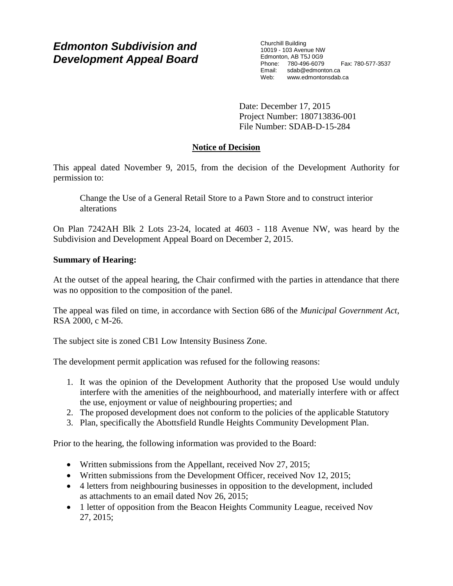# *Edmonton Subdivision and Development Appeal Board*

Churchill Building 10019 - 103 Avenue NW Edmonton, AB T5J 0G9 Phone: 780-496-6079 Fax: 780-577-3537 Email: sdab@edmonton.ca<br>Web: www.edmonton.ca Web: www.edmontonsdab.ca

Date: December 17, 2015 Project Number: 180713836-001 File Number: SDAB-D-15-284

## **Notice of Decision**

This appeal dated November 9, 2015, from the decision of the Development Authority for permission to:

Change the Use of a General Retail Store to a Pawn Store and to construct interior alterations

On Plan 7242AH Blk 2 Lots 23-24, located at 4603 - 118 Avenue NW, was heard by the Subdivision and Development Appeal Board on December 2, 2015.

## **Summary of Hearing:**

At the outset of the appeal hearing, the Chair confirmed with the parties in attendance that there was no opposition to the composition of the panel.

The appeal was filed on time, in accordance with Section 686 of the *Municipal Government Act*, RSA 2000, c M-26.

The subject site is zoned CB1 Low Intensity Business Zone.

The development permit application was refused for the following reasons:

- 1. It was the opinion of the Development Authority that the proposed Use would unduly interfere with the amenities of the neighbourhood, and materially interfere with or affect the use, enjoyment or value of neighbouring properties; and
- 2. The proposed development does not conform to the policies of the applicable Statutory
- 3. Plan, specifically the Abottsfield Rundle Heights Community Development Plan.

Prior to the hearing, the following information was provided to the Board:

- Written submissions from the Appellant, received Nov 27, 2015;
- Written submissions from the Development Officer, received Nov 12, 2015;
- 4 letters from neighbouring businesses in opposition to the development, included as attachments to an email dated Nov 26, 2015;
- 1 letter of opposition from the Beacon Heights Community League, received Nov 27, 2015;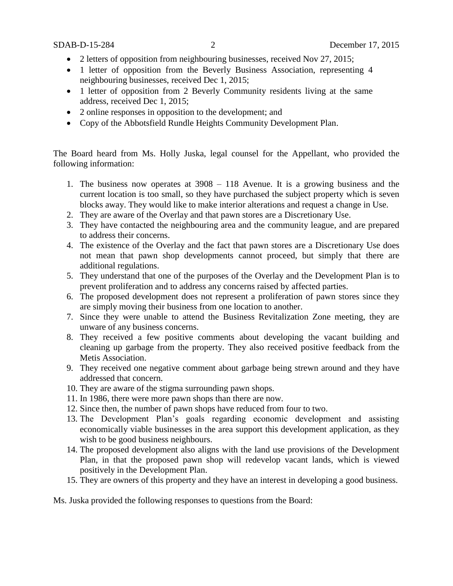- 2 letters of opposition from neighbouring businesses, received Nov 27, 2015;
- 1 letter of opposition from the Beverly Business Association, representing 4 neighbouring businesses, received Dec 1, 2015;
- 1 letter of opposition from 2 Beverly Community residents living at the same address, received Dec 1, 2015;
- 2 online responses in opposition to the development; and
- Copy of the Abbotsfield Rundle Heights Community Development Plan.

The Board heard from Ms. Holly Juska, legal counsel for the Appellant, who provided the following information:

- 1. The business now operates at 3908 118 Avenue. It is a growing business and the current location is too small, so they have purchased the subject property which is seven blocks away. They would like to make interior alterations and request a change in Use.
- 2. They are aware of the Overlay and that pawn stores are a Discretionary Use.
- 3. They have contacted the neighbouring area and the community league, and are prepared to address their concerns.
- 4. The existence of the Overlay and the fact that pawn stores are a Discretionary Use does not mean that pawn shop developments cannot proceed, but simply that there are additional regulations.
- 5. They understand that one of the purposes of the Overlay and the Development Plan is to prevent proliferation and to address any concerns raised by affected parties.
- 6. The proposed development does not represent a proliferation of pawn stores since they are simply moving their business from one location to another.
- 7. Since they were unable to attend the Business Revitalization Zone meeting, they are unware of any business concerns.
- 8. They received a few positive comments about developing the vacant building and cleaning up garbage from the property. They also received positive feedback from the Metis Association.
- 9. They received one negative comment about garbage being strewn around and they have addressed that concern.
- 10. They are aware of the stigma surrounding pawn shops.
- 11. In 1986, there were more pawn shops than there are now.
- 12. Since then, the number of pawn shops have reduced from four to two.
- 13. The Development Plan's goals regarding economic development and assisting economically viable businesses in the area support this development application, as they wish to be good business neighbours.
- 14. The proposed development also aligns with the land use provisions of the Development Plan, in that the proposed pawn shop will redevelop vacant lands, which is viewed positively in the Development Plan.
- 15. They are owners of this property and they have an interest in developing a good business.

Ms. Juska provided the following responses to questions from the Board: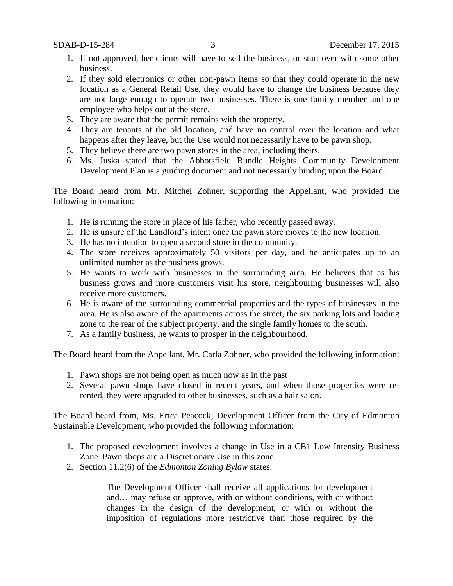- 1. If not approved, her clients will have to sell the business, or start over with some other business.
- 2. If they sold electronics or other non-pawn items so that they could operate in the new location as a General Retail Use, they would have to change the business because they are not large enough to operate two businesses. There is one family member and one employee who helps out at the store.
- 3. They are aware that the permit remains with the property.
- 4. They are tenants at the old location, and have no control over the location and what happens after they leave, but the Use would not necessarily have to be pawn shop.
- 5. They believe there are two pawn stores in the area, including theirs.
- 6. Ms. Juska stated that the Abbotsfield Rundle Heights Community Development Development Plan is a guiding document and not necessarily binding upon the Board.

The Board heard from Mr. Mitchel Zohner, supporting the Appellant, who provided the following information:

- 1. He is running the store in place of his father, who recently passed away.
- 2. He is unsure of the Landlord's intent once the pawn store moves to the new location.
- 3. He has no intention to open a second store in the community.
- 4. The store receives approximately 50 visitors per day, and he anticipates up to an unlimited number as the business grows.
- 5. He wants to work with businesses in the surrounding area. He believes that as his business grows and more customers visit his store, neighbouring businesses will also receive more customers.
- 6. He is aware of the surrounding commercial properties and the types of businesses in the area. He is also aware of the apartments across the street, the six parking lots and loading zone to the rear of the subject property, and the single family homes to the south.
- 7. As a family business, he wants to prosper in the neighbourhood.

The Board heard from the Appellant, Mr. Carla Zohner, who provided the following information:

- 1. Pawn shops are not being open as much now as in the past
- 2. Several pawn shops have closed in recent years, and when those properties were rerented, they were upgraded to other businesses, such as a hair salon.

The Board heard from, Ms. Erica Peacock, Development Officer from the City of Edmonton Sustainable Development, who provided the following information:

- 1. The proposed development involves a change in Use in a CB1 Low Intensity Business Zone. Pawn shops are a Discretionary Use in this zone.
- 2. Section 11.2(6) of the *Edmonton Zoning Bylaw* states:

The Development Officer shall receive all applications for development and… may refuse or approve, with or without conditions, with or without changes in the design of the development, or with or without the imposition of regulations more restrictive than those required by the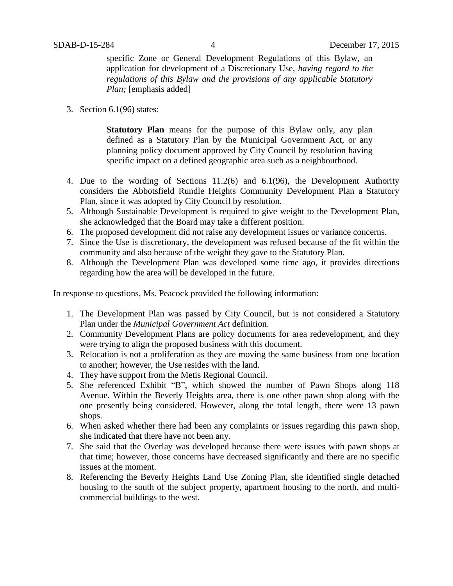specific Zone or General Development Regulations of this Bylaw, an application for development of a Discretionary Use, *having regard to the regulations of this Bylaw and the provisions of any applicable Statutory Plan;* [emphasis added]

3. Section 6.1(96) states:

**Statutory Plan** means for the purpose of this Bylaw only, any plan defined as a Statutory Plan by the Municipal Government Act, or any planning policy document approved by City Council by resolution having specific impact on a defined geographic area such as a neighbourhood.

- 4. Due to the wording of Sections 11.2(6) and 6.1(96), the Development Authority considers the Abbotsfield Rundle Heights Community Development Plan a Statutory Plan, since it was adopted by City Council by resolution.
- 5. Although Sustainable Development is required to give weight to the Development Plan, she acknowledged that the Board may take a different position.
- 6. The proposed development did not raise any development issues or variance concerns.
- 7. Since the Use is discretionary, the development was refused because of the fit within the community and also because of the weight they gave to the Statutory Plan.
- 8. Although the Development Plan was developed some time ago, it provides directions regarding how the area will be developed in the future.

In response to questions, Ms. Peacock provided the following information:

- 1. The Development Plan was passed by City Council, but is not considered a Statutory Plan under the *Municipal Government Act* definition.
- 2. Community Development Plans are policy documents for area redevelopment, and they were trying to align the proposed business with this document.
- 3. Relocation is not a proliferation as they are moving the same business from one location to another; however, the Use resides with the land.
- 4. They have support from the Metis Regional Council.
- 5. She referenced Exhibit "B", which showed the number of Pawn Shops along 118 Avenue. Within the Beverly Heights area, there is one other pawn shop along with the one presently being considered. However, along the total length, there were 13 pawn shops.
- 6. When asked whether there had been any complaints or issues regarding this pawn shop, she indicated that there have not been any.
- 7. She said that the Overlay was developed because there were issues with pawn shops at that time; however, those concerns have decreased significantly and there are no specific issues at the moment.
- 8. Referencing the Beverly Heights Land Use Zoning Plan, she identified single detached housing to the south of the subject property, apartment housing to the north, and multicommercial buildings to the west.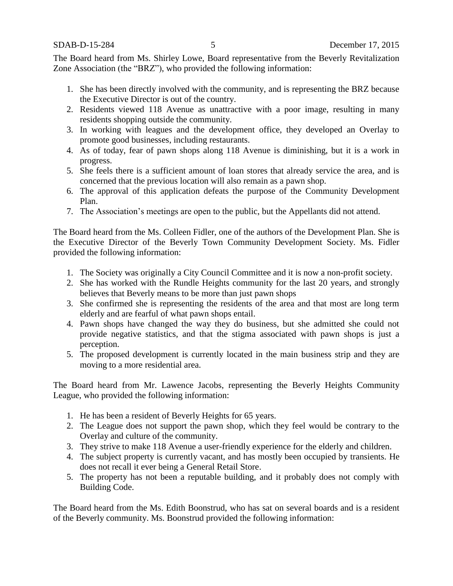The Board heard from Ms. Shirley Lowe, Board representative from the Beverly Revitalization Zone Association (the "BRZ"), who provided the following information:

- 1. She has been directly involved with the community, and is representing the BRZ because the Executive Director is out of the country.
- 2. Residents viewed 118 Avenue as unattractive with a poor image, resulting in many residents shopping outside the community.
- 3. In working with leagues and the development office, they developed an Overlay to promote good businesses, including restaurants.
- 4. As of today, fear of pawn shops along 118 Avenue is diminishing, but it is a work in progress.
- 5. She feels there is a sufficient amount of loan stores that already service the area, and is concerned that the previous location will also remain as a pawn shop.
- 6. The approval of this application defeats the purpose of the Community Development Plan.
- 7. The Association's meetings are open to the public, but the Appellants did not attend.

The Board heard from the Ms. Colleen Fidler, one of the authors of the Development Plan. She is the Executive Director of the Beverly Town Community Development Society. Ms. Fidler provided the following information:

- 1. The Society was originally a City Council Committee and it is now a non-profit society.
- 2. She has worked with the Rundle Heights community for the last 20 years, and strongly believes that Beverly means to be more than just pawn shops
- 3. She confirmed she is representing the residents of the area and that most are long term elderly and are fearful of what pawn shops entail.
- 4. Pawn shops have changed the way they do business, but she admitted she could not provide negative statistics, and that the stigma associated with pawn shops is just a perception.
- 5. The proposed development is currently located in the main business strip and they are moving to a more residential area.

The Board heard from Mr. Lawence Jacobs, representing the Beverly Heights Community League, who provided the following information:

- 1. He has been a resident of Beverly Heights for 65 years.
- 2. The League does not support the pawn shop, which they feel would be contrary to the Overlay and culture of the community.
- 3. They strive to make 118 Avenue a user-friendly experience for the elderly and children.
- 4. The subject property is currently vacant, and has mostly been occupied by transients. He does not recall it ever being a General Retail Store.
- 5. The property has not been a reputable building, and it probably does not comply with Building Code.

The Board heard from the Ms. Edith Boonstrud, who has sat on several boards and is a resident of the Beverly community. Ms. Boonstrud provided the following information: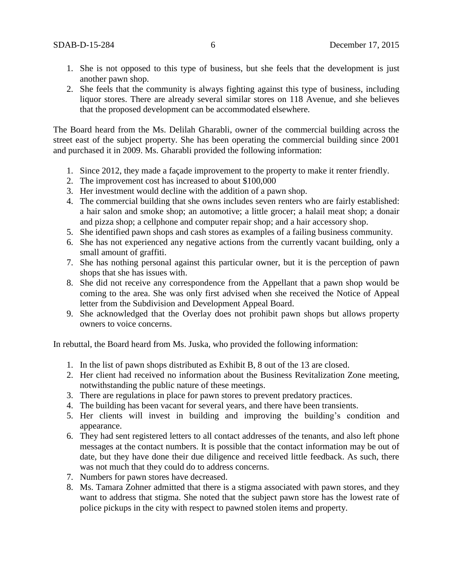- 1. She is not opposed to this type of business, but she feels that the development is just another pawn shop.
- 2. She feels that the community is always fighting against this type of business, including liquor stores. There are already several similar stores on 118 Avenue, and she believes that the proposed development can be accommodated elsewhere.

The Board heard from the Ms. Delilah Gharabli, owner of the commercial building across the street east of the subject property. She has been operating the commercial building since 2001 and purchased it in 2009. Ms. Gharabli provided the following information:

- 1. Since 2012, they made a façade improvement to the property to make it renter friendly.
- 2. The improvement cost has increased to about \$100,000
- 3. Her investment would decline with the addition of a pawn shop.
- 4. The commercial building that she owns includes seven renters who are fairly established: a hair salon and smoke shop; an automotive; a little grocer; a halail meat shop; a donair and pizza shop; a cellphone and computer repair shop; and a hair accessory shop.
- 5. She identified pawn shops and cash stores as examples of a failing business community.
- 6. She has not experienced any negative actions from the currently vacant building, only a small amount of graffiti.
- 7. She has nothing personal against this particular owner, but it is the perception of pawn shops that she has issues with.
- 8. She did not receive any correspondence from the Appellant that a pawn shop would be coming to the area. She was only first advised when she received the Notice of Appeal letter from the Subdivision and Development Appeal Board.
- 9. She acknowledged that the Overlay does not prohibit pawn shops but allows property owners to voice concerns.

In rebuttal, the Board heard from Ms. Juska, who provided the following information:

- 1. In the list of pawn shops distributed as Exhibit B, 8 out of the 13 are closed.
- 2. Her client had received no information about the Business Revitalization Zone meeting, notwithstanding the public nature of these meetings.
- 3. There are regulations in place for pawn stores to prevent predatory practices.
- 4. The building has been vacant for several years, and there have been transients.
- 5. Her clients will invest in building and improving the building's condition and appearance.
- 6. They had sent registered letters to all contact addresses of the tenants, and also left phone messages at the contact numbers. It is possible that the contact information may be out of date, but they have done their due diligence and received little feedback. As such, there was not much that they could do to address concerns.
- 7. Numbers for pawn stores have decreased.
- 8. Ms. Tamara Zohner admitted that there is a stigma associated with pawn stores, and they want to address that stigma. She noted that the subject pawn store has the lowest rate of police pickups in the city with respect to pawned stolen items and property.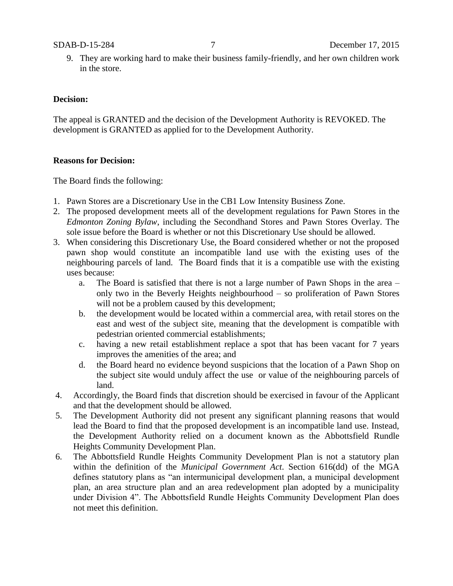9. They are working hard to make their business family-friendly, and her own children work in the store.

#### **Decision:**

The appeal is GRANTED and the decision of the Development Authority is REVOKED. The development is GRANTED as applied for to the Development Authority.

#### **Reasons for Decision:**

The Board finds the following:

- 1. Pawn Stores are a Discretionary Use in the CB1 Low Intensity Business Zone.
- 2. The proposed development meets all of the development regulations for Pawn Stores in the *Edmonton Zoning Bylaw*, including the Secondhand Stores and Pawn Stores Overlay. The sole issue before the Board is whether or not this Discretionary Use should be allowed.
- 3. When considering this Discretionary Use, the Board considered whether or not the proposed pawn shop would constitute an incompatible land use with the existing uses of the neighbouring parcels of land. The Board finds that it is a compatible use with the existing uses because:
	- a. The Board is satisfied that there is not a large number of Pawn Shops in the area only two in the Beverly Heights neighbourhood – so proliferation of Pawn Stores will not be a problem caused by this development;
	- b. the development would be located within a commercial area, with retail stores on the east and west of the subject site, meaning that the development is compatible with pedestrian oriented commercial establishments;
	- c. having a new retail establishment replace a spot that has been vacant for 7 years improves the amenities of the area; and
	- d. the Board heard no evidence beyond suspicions that the location of a Pawn Shop on the subject site would unduly affect the use or value of the neighbouring parcels of land.
- 4. Accordingly, the Board finds that discretion should be exercised in favour of the Applicant and that the development should be allowed.
- 5. The Development Authority did not present any significant planning reasons that would lead the Board to find that the proposed development is an incompatible land use. Instead, the Development Authority relied on a document known as the Abbottsfield Rundle Heights Community Development Plan.
- 6. The Abbottsfield Rundle Heights Community Development Plan is not a statutory plan within the definition of the *Municipal Government Act*. Section 616(dd) of the MGA defines statutory plans as "an intermunicipal development plan, a municipal development plan, an area structure plan and an area redevelopment plan adopted by a municipality under Division 4". The Abbottsfield Rundle Heights Community Development Plan does not meet this definition.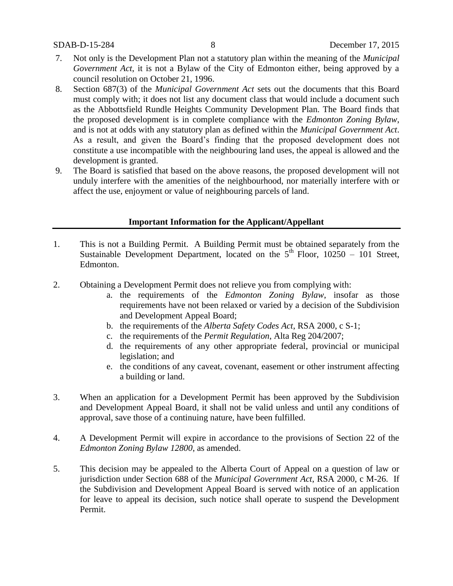- 7. Not only is the Development Plan not a statutory plan within the meaning of the *Municipal Government Act*, it is not a Bylaw of the City of Edmonton either, being approved by a council resolution on October 21, 1996.
- 8. Section 687(3) of the *Municipal Government Act* sets out the documents that this Board must comply with; it does not list any document class that would include a document such as the Abbottsfield Rundle Heights Community Development Plan. The Board finds that the proposed development is in complete compliance with the *Edmonton Zoning Bylaw*, and is not at odds with any statutory plan as defined within the *Municipal Government Act*. As a result, and given the Board's finding that the proposed development does not constitute a use incompatible with the neighbouring land uses, the appeal is allowed and the development is granted.
- 9. The Board is satisfied that based on the above reasons, the proposed development will not unduly interfere with the amenities of the neighbourhood, nor materially interfere with or affect the use, enjoyment or value of neighbouring parcels of land.

### **Important Information for the Applicant/Appellant**

- 1. This is not a Building Permit. A Building Permit must be obtained separately from the Sustainable Development Department, located on the  $5<sup>th</sup>$  Floor, 10250 – 101 Street, Edmonton.
- 2. Obtaining a Development Permit does not relieve you from complying with:
	- a. the requirements of the *Edmonton Zoning Bylaw*, insofar as those requirements have not been relaxed or varied by a decision of the Subdivision and Development Appeal Board;
	- b. the requirements of the *Alberta Safety Codes Act*, RSA 2000, c S-1;
	- c. the requirements of the *Permit Regulation*, Alta Reg 204/2007;
	- d. the requirements of any other appropriate federal, provincial or municipal legislation; and
	- e. the conditions of any caveat, covenant, easement or other instrument affecting a building or land.
- 3. When an application for a Development Permit has been approved by the Subdivision and Development Appeal Board, it shall not be valid unless and until any conditions of approval, save those of a continuing nature, have been fulfilled.
- 4. A Development Permit will expire in accordance to the provisions of Section 22 of the *Edmonton Zoning Bylaw 12800*, as amended.
- 5. This decision may be appealed to the Alberta Court of Appeal on a question of law or jurisdiction under Section 688 of the *Municipal Government Act*, RSA 2000, c M-26. If the Subdivision and Development Appeal Board is served with notice of an application for leave to appeal its decision, such notice shall operate to suspend the Development Permit.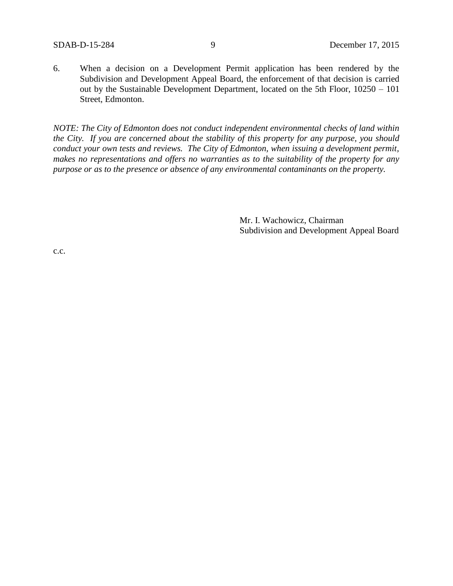6. When a decision on a Development Permit application has been rendered by the Subdivision and Development Appeal Board, the enforcement of that decision is carried out by the Sustainable Development Department, located on the 5th Floor, 10250 – 101 Street, Edmonton.

*NOTE: The City of Edmonton does not conduct independent environmental checks of land within the City. If you are concerned about the stability of this property for any purpose, you should conduct your own tests and reviews. The City of Edmonton, when issuing a development permit, makes no representations and offers no warranties as to the suitability of the property for any purpose or as to the presence or absence of any environmental contaminants on the property.*

> Mr. I. Wachowicz, Chairman Subdivision and Development Appeal Board

c.c.